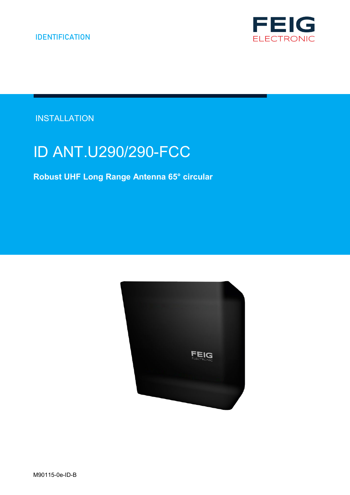

**INSTALLATION** 

# ID ANT.U290/290-FCC

**Robust UHF Long Range Antenna 65° circular**

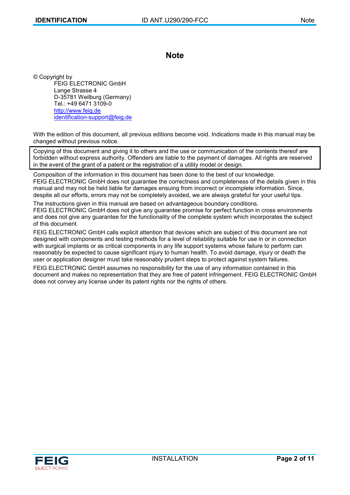### **Note**

© Copyright by FEIG ELECTRONIC GmbH Lange Strasse 4 D-35781 Weilburg (Germany) Tel.: +49 6471 3109-0 [http://www.feig.de](http://www.feig.de/) [identification-support@feig.de](mailto:identification-support@feig.de)

With the edition of this document, all previous editions become void. Indications made in this manual may be changed without previous notice.

Copying of this document and giving it to others and the use or communication of the contents thereof are forbidden without express authority. Offenders are liable to the payment of damages. All rights are reserved in the event of the grant of a patent or the registration of a utility model or design.

Composition of the information in this document has been done to the best of our knowledge. FEIG ELECTRONIC GmbH does not guarantee the correctness and completeness of the details given in this manual and may not be held liable for damages ensuing from incorrect or incomplete information. Since, despite all our efforts, errors may not be completely avoided, we are always grateful for your useful tips.

The instructions given in this manual are based on advantageous boundary conditions.

FEIG ELECTRONIC GmbH does not give any guarantee promise for perfect function in cross environments and does not give any guarantee for the functionality of the complete system which incorporates the subject of this document.

FEIG ELECTRONIC GmbH calls explicit attention that devices which are subject of this document are not designed with components and testing methods for a level of reliability suitable for use in or in connection with surgical implants or as critical components in any life support systems whose failure to perform can reasonably be expected to cause significant injury to human health. To avoid damage, injury or death the user or application designer must take reasonably prudent steps to protect against system failures.

FEIG ELECTRONIC GmbH assumes no responsibility for the use of any information contained in this document and makes no representation that they are free of patent infringement. FEIG ELECTRONIC GmbH does not convey any license under its patent rights nor the rights of others.

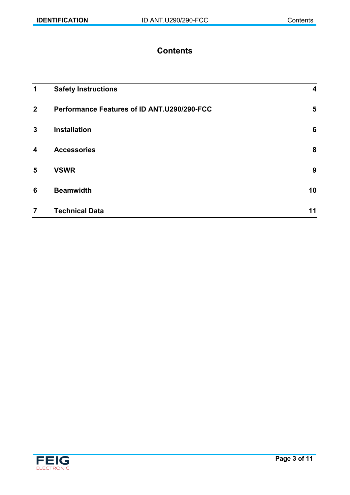# **Contents**

| 1                | <b>Safety Instructions</b>                  | 4  |
|------------------|---------------------------------------------|----|
| $\mathbf{2}$     | Performance Features of ID ANT.U290/290-FCC | 5  |
| $\mathbf{3}$     | <b>Installation</b>                         | 6  |
| $\boldsymbol{4}$ | <b>Accessories</b>                          | 8  |
| 5                | <b>VSWR</b>                                 | 9  |
| 6                | <b>Beamwidth</b>                            | 10 |
| $\overline{7}$   | <b>Technical Data</b>                       | 11 |

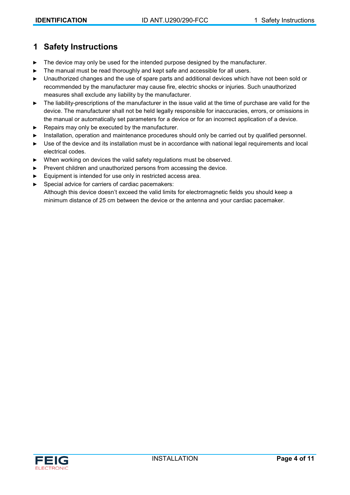# <span id="page-3-0"></span>**1 Safety Instructions**

- The device may only be used for the intended purpose designed by the manufacturer.
- The manual must be read thoroughly and kept safe and accessible for all users.
- ► Unauthorized changes and the use of spare parts and additional devices which have not been sold or recommended by the manufacturer may cause fire, electric shocks or injuries. Such unauthorized measures shall exclude any liability by the manufacturer.
- ► The liability-prescriptions of the manufacturer in the issue valid at the time of purchase are valid for the device. The manufacturer shall not be held legally responsible for inaccuracies, errors, or omissions in the manual or automatically set parameters for a device or for an incorrect application of a device.
- ► Repairs may only be executed by the manufacturer.
- ► Installation, operation and maintenance procedures should only be carried out by qualified personnel.
- ► Use of the device and its installation must be in accordance with national legal requirements and local electrical codes.
- ► When working on devices the valid safety regulations must be observed.
- ► Prevent children and unauthorized persons from accessing the device.
- ► Equipment is intended for use only in restricted access area.
- ► Special advice for carriers of cardiac pacemakers:

Although this device doesn't exceed the valid limits for electromagnetic fields you should keep a minimum distance of 25 cm between the device or the antenna and your cardiac pacemaker.

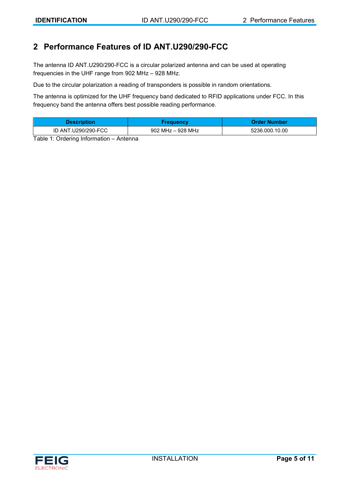# <span id="page-4-0"></span>**2 Performance Features of ID ANT.U290/290-FCC**

The antenna ID ANT.U290/290-FCC is a circular polarized antenna and can be used at operating frequencies in the UHF range from 902 MHz – 928 MHz.

Due to the circular polarization a reading of transponders is possible in random orientations.

The antenna is optimized for the UHF frequency band dedicated to RFID applications under FCC. In this frequency band the antenna offers best possible reading performance.

| Description         | Frequency         | Order Number   |
|---------------------|-------------------|----------------|
| ID ANT.U290/290-FCC | 902 MHz - 928 MHz | 5236.000.10.00 |

Table 1: Ordering Information – Antenna

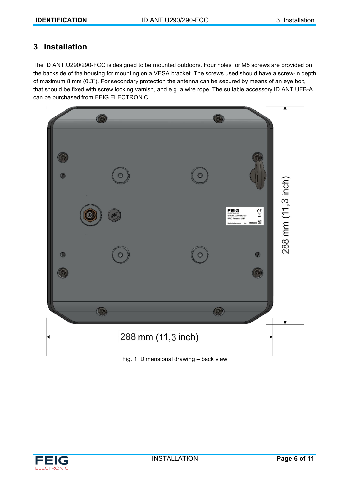## <span id="page-5-0"></span>**3 Installation**

The ID ANT.U290/290-FCC is designed to be mounted outdoors. Four holes for M5 screws are provided on the backside of the housing for mounting on a VESA bracket. The screws used should have a screw-in depth of maximum 8 mm (0.3"). For secondary protection the antenna can be secured by means of an eye bolt, that should be fixed with screw locking varnish, and e.g. a wire rope. The suitable accessory ID ANT.UEB-A can be purchased from FEIG ELECTRONIC.



Fig. 1: Dimensional drawing – back view

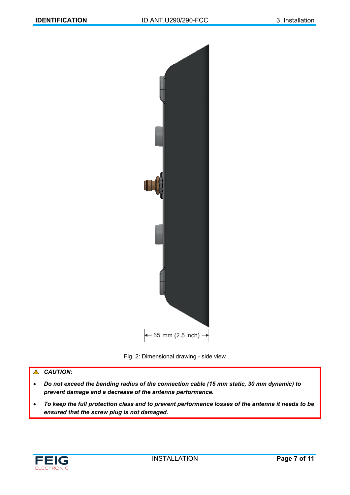

#### Fig. 2: Dimensional drawing - side view

#### *A CAUTION:*

- *Do not exceed the bending radius of the connection cable (15 mm static, 30 mm dynamic) to prevent damage and a decrease of the antenna performance.*
- *To keep the full protection class and to prevent performance losses of the antenna it needs to be ensured that the screw plug is not damaged.*

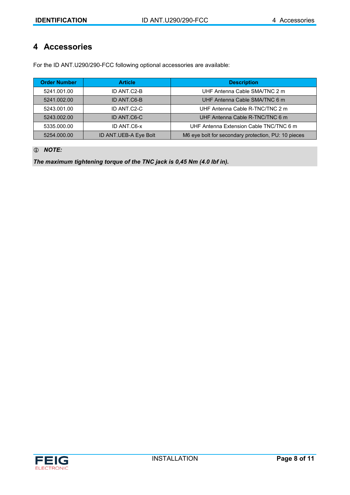## <span id="page-7-0"></span>**4 Accessories**

For the ID ANT.U290/290-FCC following optional accessories are available:

| <b>Order Number</b> | <b>Article</b>        | <b>Description</b>                                  |
|---------------------|-----------------------|-----------------------------------------------------|
| 5241.001.00         | ID ANT.C2-B           | UHF Antenna Cable SMA/TNC 2 m                       |
| 5241.002.00         | ID ANT.C6-B           | UHF Antenna Cable SMA/TNC 6 m                       |
| 5243.001.00         | ID ANT.C2-C           | UHF Antenna Cable R-TNC/TNC 2 m                     |
| 5243.002.00         | ID ANT.C6-C           | UHF Antenna Cable R-TNC/TNC 6 m                     |
| 5335.000.00         | ID ANT.C6-x           | UHF Antenna Extension Cable TNC/TNC 6 m             |
| 5254.000.00         | ID ANT.UEB-A Eye Bolt | M6 eye bolt for secondary protection, PU: 10 pieces |

*NOTE:*

*The maximum tightening torque of the TNC jack is 0,45 Nm (4.0 lbf in).*

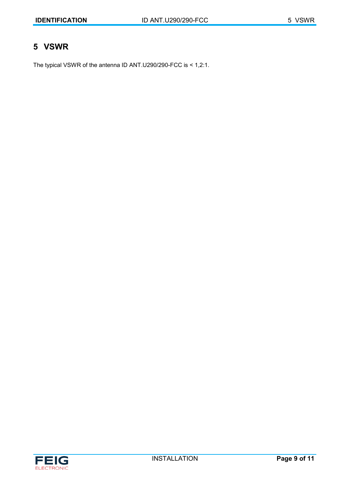# <span id="page-8-0"></span>**5 VSWR**

The typical VSWR of the antenna ID ANT.U290/290-FCC is < 1,2:1.

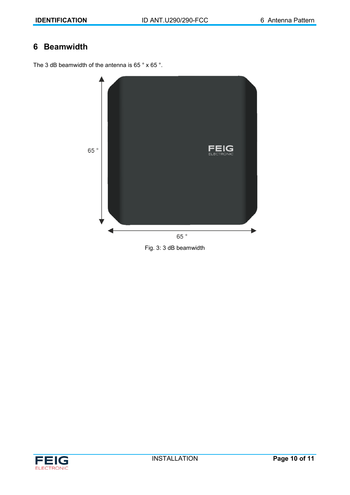# <span id="page-9-0"></span>**6 Beamwidth**

The 3 dB beamwidth of the antenna is 65 ° x 65 °.